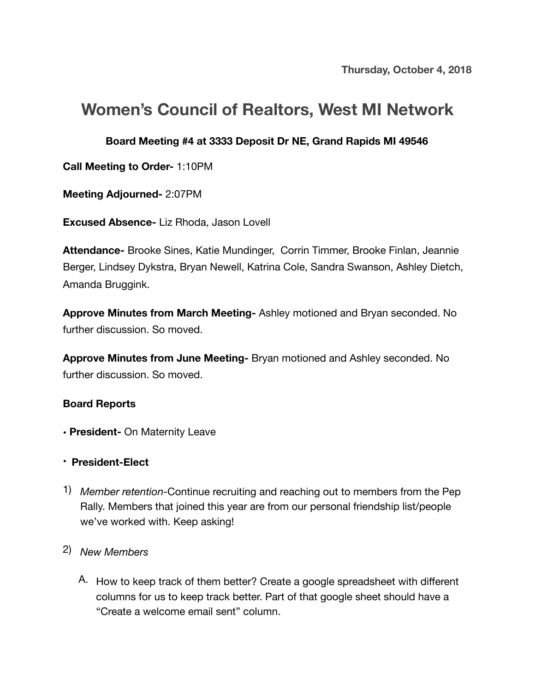# **Women's Council of Realtors, West MI Network**

#### **Board Meeting #4 at 3333 Deposit Dr NE, Grand Rapids MI 49546**

**Call Meeting to Order-** 1:10PM

**Meeting Adjourned-** 2:07PM

**Excused Absence-** Liz Rhoda, Jason Lovell

**Attendance-** Brooke Sines, Katie Mundinger, Corrin Timmer, Brooke Finlan, Jeannie Berger, Lindsey Dykstra, Bryan Newell, Katrina Cole, Sandra Swanson, Ashley Dietch, Amanda Bruggink.

**Approve Minutes from March Meeting-** Ashley motioned and Bryan seconded. No further discussion. So moved.

**Approve Minutes from June Meeting-** Bryan motioned and Ashley seconded. No further discussion. So moved.

#### **Board Reports**

- **• President-** On Maternity Leave
- **President-Elect**
- 1) *Member retention-*Continue recruiting and reaching out to members from the Pep Rally. Members that joined this year are from our personal friendship list/people we've worked with. Keep asking!

### 2) *New Members*

A. How to keep track of them better? Create a google spreadsheet with different columns for us to keep track better. Part of that google sheet should have a "Create a welcome email sent" column.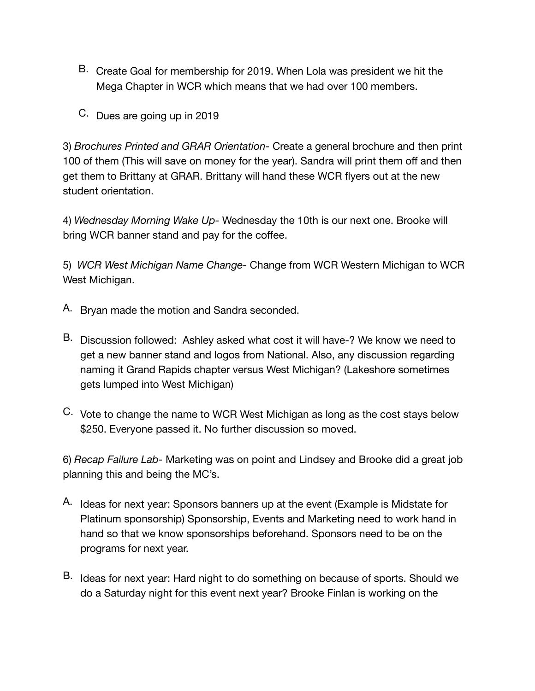- B. Create Goal for membership for 2019. When Lola was president we hit the Mega Chapter in WCR which means that we had over 100 members.
- C. Dues are going up in 2019

3) *Brochures Printed and GRAR Orientation-* Create a general brochure and then print 100 of them (This will save on money for the year). Sandra will print them off and then get them to Brittany at GRAR. Brittany will hand these WCR flyers out at the new student orientation.

4) *Wednesday Morning Wake Up-* Wednesday the 10th is our next one. Brooke will bring WCR banner stand and pay for the coffee.

5) *WCR West Michigan Name Change-* Change from WCR Western Michigan to WCR West Michigan.

- A. Bryan made the motion and Sandra seconded.
- B. Discussion followed: Ashley asked what cost it will have-? We know we need to get a new banner stand and logos from National. Also, any discussion regarding naming it Grand Rapids chapter versus West Michigan? (Lakeshore sometimes gets lumped into West Michigan)
- C. Vote to change the name to WCR West Michigan as long as the cost stays below \$250. Everyone passed it. No further discussion so moved.

6) *Recap Failure Lab-* Marketing was on point and Lindsey and Brooke did a great job planning this and being the MC's.

- A. Ideas for next year: Sponsors banners up at the event (Example is Midstate for Platinum sponsorship) Sponsorship, Events and Marketing need to work hand in hand so that we know sponsorships beforehand. Sponsors need to be on the programs for next year.
- B. Ideas for next year: Hard night to do something on because of sports. Should we do a Saturday night for this event next year? Brooke Finlan is working on the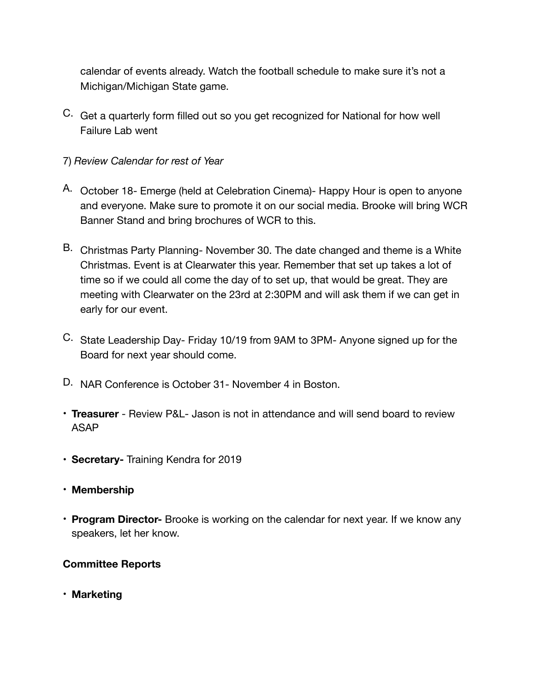calendar of events already. Watch the football schedule to make sure it's not a Michigan/Michigan State game.

C. Get a quarterly form filled out so you get recognized for National for how well Failure Lab went

#### 7) *Review Calendar for rest of Year*

- A. October 18- Emerge (held at Celebration Cinema)- Happy Hour is open to anyone and everyone. Make sure to promote it on our social media. Brooke will bring WCR Banner Stand and bring brochures of WCR to this.
- B. Christmas Party Planning- November 30. The date changed and theme is a White Christmas. Event is at Clearwater this year. Remember that set up takes a lot of time so if we could all come the day of to set up, that would be great. They are meeting with Clearwater on the 23rd at 2:30PM and will ask them if we can get in early for our event.
- C. State Leadership Day- Friday 10/19 from 9AM to 3PM- Anyone signed up for the Board for next year should come.
- D. NAR Conference is October 31- November 4 in Boston.
- **Treasurer** Review P&L- Jason is not in attendance and will send board to review ASAP
- **Secretary-** Training Kendra for 2019
- **Membership**
- **Program Director-** Brooke is working on the calendar for next year. If we know any speakers, let her know.

#### **Committee Reports**

**• Marketing**